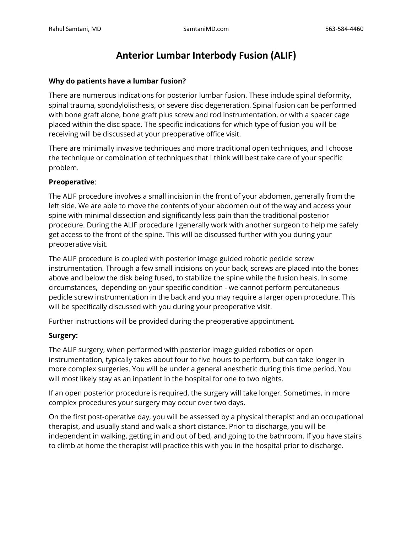# **Anterior Lumbar Interbody Fusion (ALIF)**

#### **Why do patients have a lumbar fusion?**

There are numerous indications for posterior lumbar fusion. These include spinal deformity, spinal trauma, spondylolisthesis, or severe disc degeneration. Spinal fusion can be performed with bone graft alone, bone graft plus screw and rod instrumentation, or with a spacer cage placed within the disc space. The specific indications for which type of fusion you will be receiving will be discussed at your preoperative office visit.

There are minimally invasive techniques and more traditional open techniques, and I choose the technique or combination of techniques that I think will best take care of your specific problem.

## **Preoperative**:

The ALIF procedure involves a small incision in the front of your abdomen, generally from the left side. We are able to move the contents of your abdomen out of the way and access your spine with minimal dissection and significantly less pain than the traditional posterior procedure. During the ALIF procedure I generally work with another surgeon to help me safely get access to the front of the spine. This will be discussed further with you during your preoperative visit.

The ALIF procedure is coupled with posterior image guided robotic pedicle screw instrumentation. Through a few small incisions on your back, screws are placed into the bones above and below the disk being fused, to stabilize the spine while the fusion heals. In some circumstances, depending on your specific condition - we cannot perform percutaneous pedicle screw instrumentation in the back and you may require a larger open procedure. This will be specifically discussed with you during your preoperative visit.

Further instructions will be provided during the preoperative appointment.

#### **Surgery:**

The ALIF surgery, when performed with posterior image guided robotics or open instrumentation, typically takes about four to five hours to perform, but can take longer in more complex surgeries. You will be under a general anesthetic during this time period. You will most likely stay as an inpatient in the hospital for one to two nights.

If an open posterior procedure is required, the surgery will take longer. Sometimes, in more complex procedures your surgery may occur over two days.

On the first post-operative day, you will be assessed by a physical therapist and an occupational therapist, and usually stand and walk a short distance. Prior to discharge, you will be independent in walking, getting in and out of bed, and going to the bathroom. If you have stairs to climb at home the therapist will practice this with you in the hospital prior to discharge.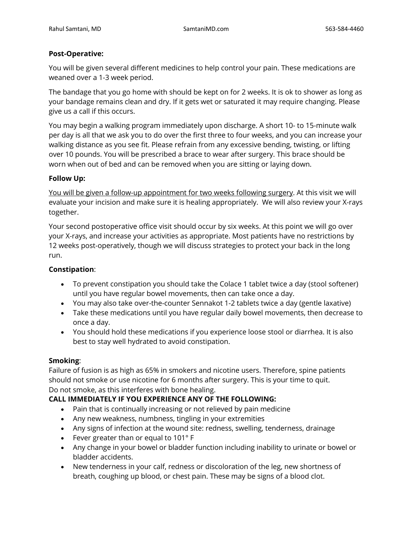## **Post-Operative:**

You will be given several different medicines to help control your pain. These medications are weaned over a 1-3 week period.

The bandage that you go home with should be kept on for 2 weeks. It is ok to shower as long as your bandage remains clean and dry. If it gets wet or saturated it may require changing. Please give us a call if this occurs.

You may begin a walking program immediately upon discharge. A short 10- to 15-minute walk per day is all that we ask you to do over the first three to four weeks, and you can increase your walking distance as you see fit. Please refrain from any excessive bending, twisting, or lifting over 10 pounds. You will be prescribed a brace to wear after surgery. This brace should be worn when out of bed and can be removed when you are sitting or laying down.

## **Follow Up:**

You will be given a follow-up appointment for two weeks following surgery. At this visit we will evaluate your incision and make sure it is healing appropriately. We will also review your X-rays together.

Your second postoperative office visit should occur by six weeks. At this point we will go over your X-rays, and increase your activities as appropriate. Most patients have no restrictions by 12 weeks post-operatively, though we will discuss strategies to protect your back in the long run.

# **Constipation**:

- To prevent constipation you should take the Colace 1 tablet twice a day (stool softener) until you have regular bowel movements, then can take once a day.
- You may also take over-the-counter Sennakot 1-2 tablets twice a day (gentle laxative)
- Take these medications until you have regular daily bowel movements, then decrease to once a day.
- You should hold these medications if you experience loose stool or diarrhea. It is also best to stay well hydrated to avoid constipation.

#### **Smoking**:

Failure of fusion is as high as 65% in smokers and nicotine users. Therefore, spine patients should not smoke or use nicotine for 6 months after surgery. This is your time to quit. Do not smoke, as this interferes with bone healing.

# **CALL IMMEDIATELY IF YOU EXPERIENCE ANY OF THE FOLLOWING:**

- Pain that is continually increasing or not relieved by pain medicine
- Any new weakness, numbness, tingling in your extremities
- Any signs of infection at the wound site: redness, swelling, tenderness, drainage
- Fever greater than or equal to 101° F
- Any change in your bowel or bladder function including inability to urinate or bowel or bladder accidents.
- New tenderness in your calf, redness or discoloration of the leg, new shortness of breath, coughing up blood, or chest pain. These may be signs of a blood clot.